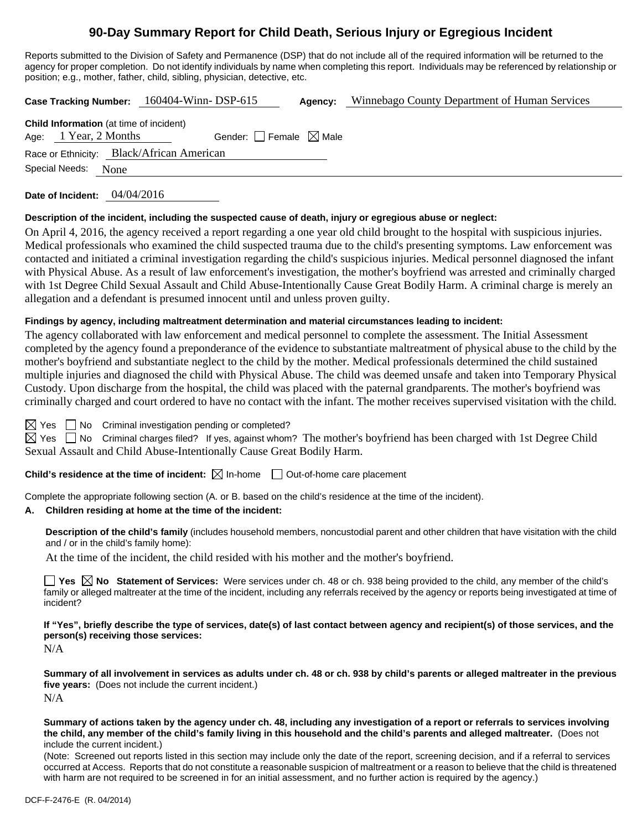## **90-Day Summary Report for Child Death, Serious Injury or Egregious Incident**

Reports submitted to the Division of Safety and Permanence (DSP) that do not include all of the required information will be returned to the agency for proper completion. Do not identify individuals by name when completing this report. Individuals may be referenced by relationship or position; e.g., mother, father, child, sibling, physician, detective, etc.

**Case Tracking Number:** 160404-Winn- DSP-615 **Agency:** Winnebago County Department of Human Services

| <b>Child Information</b> (at time of incident) |                       |  |                                 |  |  |  |  |  |  |
|------------------------------------------------|-----------------------|--|---------------------------------|--|--|--|--|--|--|
|                                                | Age: 1 Year, 2 Months |  | Gender: Female $\boxtimes$ Male |  |  |  |  |  |  |
| Race or Ethnicity: Black/African American      |                       |  |                                 |  |  |  |  |  |  |
| Special Needs: None                            |                       |  |                                 |  |  |  |  |  |  |

**Date of Incident:** 04/04/2016

#### **Description of the incident, including the suspected cause of death, injury or egregious abuse or neglect:**

On April 4, 2016, the agency received a report regarding a one year old child brought to the hospital with suspicious injuries. Medical professionals who examined the child suspected trauma due to the child's presenting symptoms. Law enforcement was contacted and initiated a criminal investigation regarding the child's suspicious injuries. Medical personnel diagnosed the infant with Physical Abuse. As a result of law enforcement's investigation, the mother's boyfriend was arrested and criminally charged with 1st Degree Child Sexual Assault and Child Abuse-Intentionally Cause Great Bodily Harm. A criminal charge is merely an allegation and a defendant is presumed innocent until and unless proven guilty.

#### **Findings by agency, including maltreatment determination and material circumstances leading to incident:**

The agency collaborated with law enforcement and medical personnel to complete the assessment. The Initial Assessment completed by the agency found a preponderance of the evidence to substantiate maltreatment of physical abuse to the child by the mother's boyfriend and substantiate neglect to the child by the mother. Medical professionals determined the child sustained multiple injuries and diagnosed the child with Physical Abuse. The child was deemed unsafe and taken into Temporary Physical Custody. Upon discharge from the hospital, the child was placed with the paternal grandparents. The mother's boyfriend was criminally charged and court ordered to have no contact with the infant. The mother receives supervised visitation with the child.

 $\Box$  No Criminal investigation pending or completed?

 $\boxtimes$  Yes  $\Box$  No Criminal charges filed? If yes, against whom? The mother's boyfriend has been charged with 1st Degree Child Sexual Assault and Child Abuse-Intentionally Cause Great Bodily Harm.

**Child's residence at the time of incident:**  $\boxtimes$  In-home  $\Box$  Out-of-home care placement

Complete the appropriate following section (A. or B. based on the child's residence at the time of the incident).

#### **A. Children residing at home at the time of the incident:**

**Description of the child's family** (includes household members, noncustodial parent and other children that have visitation with the child and / or in the child's family home):

At the time of the incident, the child resided with his mother and the mother's boyfriend.

■ Yes **No** Statement of Services: Were services under ch. 48 or ch. 938 being provided to the child, any member of the child's family or alleged maltreater at the time of the incident, including any referrals received by the agency or reports being investigated at time of incident?

**If "Yes", briefly describe the type of services, date(s) of last contact between agency and recipient(s) of those services, and the person(s) receiving those services:** 

N/A

**Summary of all involvement in services as adults under ch. 48 or ch. 938 by child's parents or alleged maltreater in the previous five years:** (Does not include the current incident.) N/A

**Summary of actions taken by the agency under ch. 48, including any investigation of a report or referrals to services involving the child, any member of the child's family living in this household and the child's parents and alleged maltreater.** (Does not include the current incident.)

(Note: Screened out reports listed in this section may include only the date of the report, screening decision, and if a referral to services occurred at Access. Reports that do not constitute a reasonable suspicion of maltreatment or a reason to believe that the child is threatened with harm are not required to be screened in for an initial assessment, and no further action is required by the agency.)